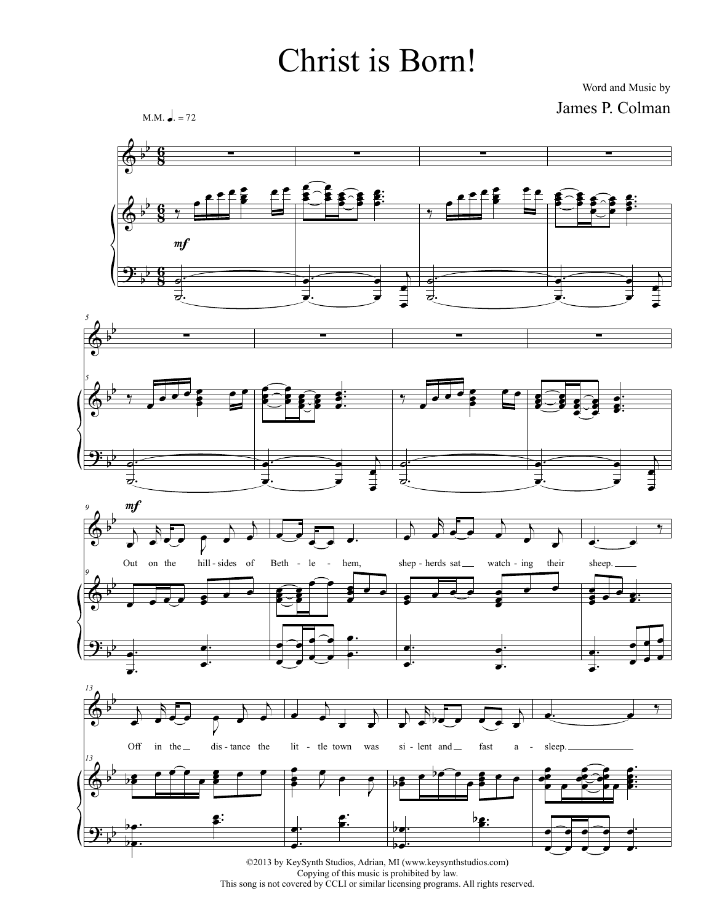## Christ is Born!

Word and Music by James P. Colman



©2013 by KeySynth Studios, Adrian, MI (www.keysynthstudios.com) Copying of this music is prohibited by law.<br>This song is not covered by CCLI or similar licensing programs. All rights reserved.